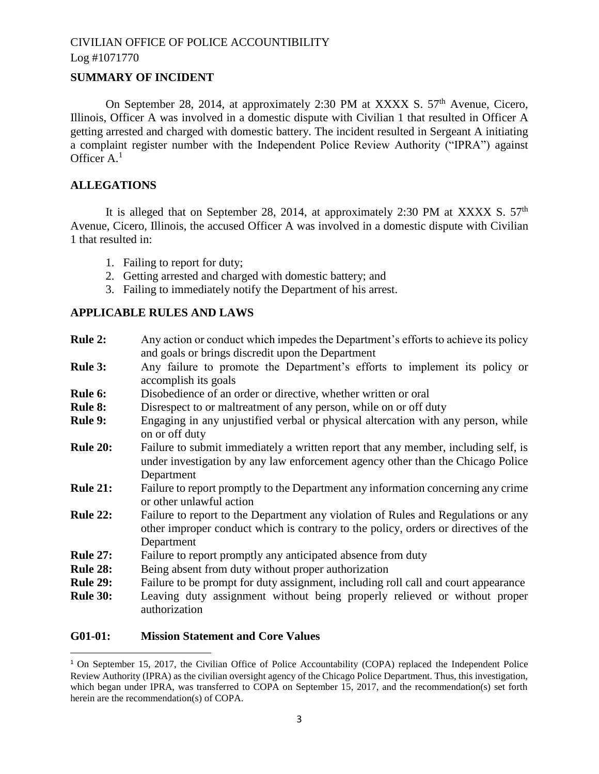## **SUMMARY OF INCIDENT**

On September 28, 2014, at approximately 2:30 PM at XXXX S. 57<sup>th</sup> Avenue, Cicero, Illinois, Officer A was involved in a domestic dispute with Civilian 1 that resulted in Officer A getting arrested and charged with domestic battery. The incident resulted in Sergeant A initiating a complaint register number with the Independent Police Review Authority ("IPRA") against Officer A. 1

## **ALLEGATIONS**

It is alleged that on September 28, 2014, at approximately 2:30 PM at XXXX S.  $57<sup>th</sup>$ Avenue, Cicero, Illinois, the accused Officer A was involved in a domestic dispute with Civilian 1 that resulted in:

- 1. Failing to report for duty;
- 2. Getting arrested and charged with domestic battery; and
- 3. Failing to immediately notify the Department of his arrest.

#### **APPLICABLE RULES AND LAWS**

| <b>Rule 2:</b>  | Any action or conduct which impedes the Department's efforts to achieve its policy<br>and goals or brings discredit upon the Department                                                |
|-----------------|----------------------------------------------------------------------------------------------------------------------------------------------------------------------------------------|
| <b>Rule 3:</b>  | Any failure to promote the Department's efforts to implement its policy or<br>accomplish its goals                                                                                     |
| Rule 6:         | Disobedience of an order or directive, whether written or oral                                                                                                                         |
| <b>Rule 8:</b>  | Disrespect to or maltreatment of any person, while on or off duty                                                                                                                      |
| <b>Rule 9:</b>  | Engaging in any unjustified verbal or physical altercation with any person, while<br>on or off duty                                                                                    |
| <b>Rule 20:</b> | Failure to submit immediately a written report that any member, including self, is<br>under investigation by any law enforcement agency other than the Chicago Police<br>Department    |
| <b>Rule 21:</b> | Failure to report promptly to the Department any information concerning any crime<br>or other unlawful action                                                                          |
| <b>Rule 22:</b> | Failure to report to the Department any violation of Rules and Regulations or any<br>other improper conduct which is contrary to the policy, orders or directives of the<br>Department |
| <b>Rule 27:</b> | Failure to report promptly any anticipated absence from duty                                                                                                                           |
| <b>Rule 28:</b> | Being absent from duty without proper authorization                                                                                                                                    |
| <b>Rule 29:</b> | Failure to be prompt for duty assignment, including roll call and court appearance                                                                                                     |
| <b>Rule 30:</b> | Leaving duty assignment without being properly relieved or without proper<br>authorization                                                                                             |

# **G01-01: Mission Statement and Core Values**

 $\overline{a}$ 

<sup>&</sup>lt;sup>1</sup> On September 15, 2017, the Civilian Office of Police Accountability (COPA) replaced the Independent Police Review Authority (IPRA) as the civilian oversight agency of the Chicago Police Department. Thus, this investigation, which began under IPRA, was transferred to COPA on September 15, 2017, and the recommendation(s) set forth herein are the recommendation(s) of COPA.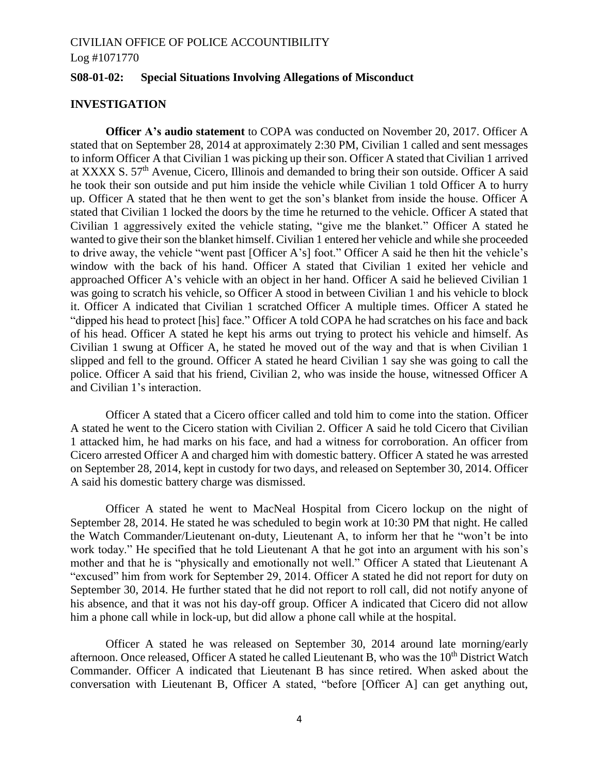Log #1071770

#### **S08-01-02: Special Situations Involving Allegations of Misconduct**

#### **INVESTIGATION**

**Officer A's audio statement** to COPA was conducted on November 20, 2017. Officer A stated that on September 28, 2014 at approximately 2:30 PM, Civilian 1 called and sent messages to inform Officer A that Civilian 1 was picking up their son. Officer A stated that Civilian 1 arrived at XXXX S. 57<sup>th</sup> Avenue, Cicero, Illinois and demanded to bring their son outside. Officer A said he took their son outside and put him inside the vehicle while Civilian 1 told Officer A to hurry up. Officer A stated that he then went to get the son's blanket from inside the house. Officer A stated that Civilian 1 locked the doors by the time he returned to the vehicle. Officer A stated that Civilian 1 aggressively exited the vehicle stating, "give me the blanket." Officer A stated he wanted to give their son the blanket himself. Civilian 1 entered her vehicle and while she proceeded to drive away, the vehicle "went past [Officer A's] foot." Officer A said he then hit the vehicle's window with the back of his hand. Officer A stated that Civilian 1 exited her vehicle and approached Officer A's vehicle with an object in her hand. Officer A said he believed Civilian 1 was going to scratch his vehicle, so Officer A stood in between Civilian 1 and his vehicle to block it. Officer A indicated that Civilian 1 scratched Officer A multiple times. Officer A stated he "dipped his head to protect [his] face." Officer A told COPA he had scratches on his face and back of his head. Officer A stated he kept his arms out trying to protect his vehicle and himself. As Civilian 1 swung at Officer A, he stated he moved out of the way and that is when Civilian 1 slipped and fell to the ground. Officer A stated he heard Civilian 1 say she was going to call the police. Officer A said that his friend, Civilian 2, who was inside the house, witnessed Officer A and Civilian 1's interaction.

Officer A stated that a Cicero officer called and told him to come into the station. Officer A stated he went to the Cicero station with Civilian 2. Officer A said he told Cicero that Civilian 1 attacked him, he had marks on his face, and had a witness for corroboration. An officer from Cicero arrested Officer A and charged him with domestic battery. Officer A stated he was arrested on September 28, 2014, kept in custody for two days, and released on September 30, 2014. Officer A said his domestic battery charge was dismissed.

Officer A stated he went to MacNeal Hospital from Cicero lockup on the night of September 28, 2014. He stated he was scheduled to begin work at 10:30 PM that night. He called the Watch Commander/Lieutenant on-duty, Lieutenant A, to inform her that he "won't be into work today." He specified that he told Lieutenant A that he got into an argument with his son's mother and that he is "physically and emotionally not well." Officer A stated that Lieutenant A "excused" him from work for September 29, 2014. Officer A stated he did not report for duty on September 30, 2014. He further stated that he did not report to roll call, did not notify anyone of his absence, and that it was not his day-off group. Officer A indicated that Cicero did not allow him a phone call while in lock-up, but did allow a phone call while at the hospital.

Officer A stated he was released on September 30, 2014 around late morning/early afternoon. Once released, Officer A stated he called Lieutenant B, who was the 10<sup>th</sup> District Watch Commander. Officer A indicated that Lieutenant B has since retired. When asked about the conversation with Lieutenant B, Officer A stated, "before [Officer A] can get anything out,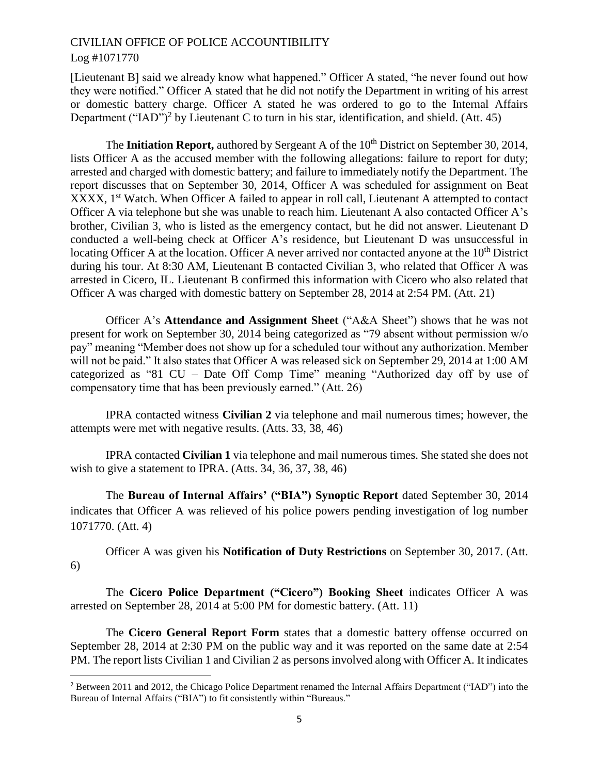[Lieutenant B] said we already know what happened." Officer A stated, "he never found out how they were notified." Officer A stated that he did not notify the Department in writing of his arrest or domestic battery charge. Officer A stated he was ordered to go to the Internal Affairs Department ("IAD")<sup>2</sup> by Lieutenant C to turn in his star, identification, and shield. (Att. 45)

The **Initiation Report,** authored by Sergeant A of the 10<sup>th</sup> District on September 30, 2014, lists Officer A as the accused member with the following allegations: failure to report for duty; arrested and charged with domestic battery; and failure to immediately notify the Department. The report discusses that on September 30, 2014, Officer A was scheduled for assignment on Beat XXXX, 1<sup>st</sup> Watch. When Officer A failed to appear in roll call, Lieutenant A attempted to contact Officer A via telephone but she was unable to reach him. Lieutenant A also contacted Officer A's brother, Civilian 3, who is listed as the emergency contact, but he did not answer. Lieutenant D conducted a well-being check at Officer A's residence, but Lieutenant D was unsuccessful in locating Officer A at the location. Officer A never arrived nor contacted anyone at the 10<sup>th</sup> District during his tour. At 8:30 AM, Lieutenant B contacted Civilian 3, who related that Officer A was arrested in Cicero, IL. Lieutenant B confirmed this information with Cicero who also related that Officer A was charged with domestic battery on September 28, 2014 at 2:54 PM. (Att. 21)

Officer A's **Attendance and Assignment Sheet** ("A&A Sheet") shows that he was not present for work on September 30, 2014 being categorized as "79 absent without permission w/o pay" meaning "Member does not show up for a scheduled tour without any authorization. Member will not be paid." It also states that Officer A was released sick on September 29, 2014 at 1:00 AM categorized as "81 CU – Date Off Comp Time" meaning "Authorized day off by use of compensatory time that has been previously earned." (Att. 26)

IPRA contacted witness **Civilian 2** via telephone and mail numerous times; however, the attempts were met with negative results. (Atts. 33, 38, 46)

IPRA contacted **Civilian 1** via telephone and mail numerous times. She stated she does not wish to give a statement to IPRA. (Atts. 34, 36, 37, 38, 46)

The **Bureau of Internal Affairs' ("BIA") Synoptic Report** dated September 30, 2014 indicates that Officer A was relieved of his police powers pending investigation of log number 1071770. (Att. 4)

Officer A was given his **Notification of Duty Restrictions** on September 30, 2017. (Att. 6)

The **Cicero Police Department ("Cicero") Booking Sheet** indicates Officer A was arrested on September 28, 2014 at 5:00 PM for domestic battery. (Att. 11)

The **Cicero General Report Form** states that a domestic battery offense occurred on September 28, 2014 at 2:30 PM on the public way and it was reported on the same date at 2:54 PM. The report lists Civilian 1 and Civilian 2 as persons involved along with Officer A. It indicates

l

<sup>&</sup>lt;sup>2</sup> Between 2011 and 2012, the Chicago Police Department renamed the Internal Affairs Department ("IAD") into the Bureau of Internal Affairs ("BIA") to fit consistently within "Bureaus."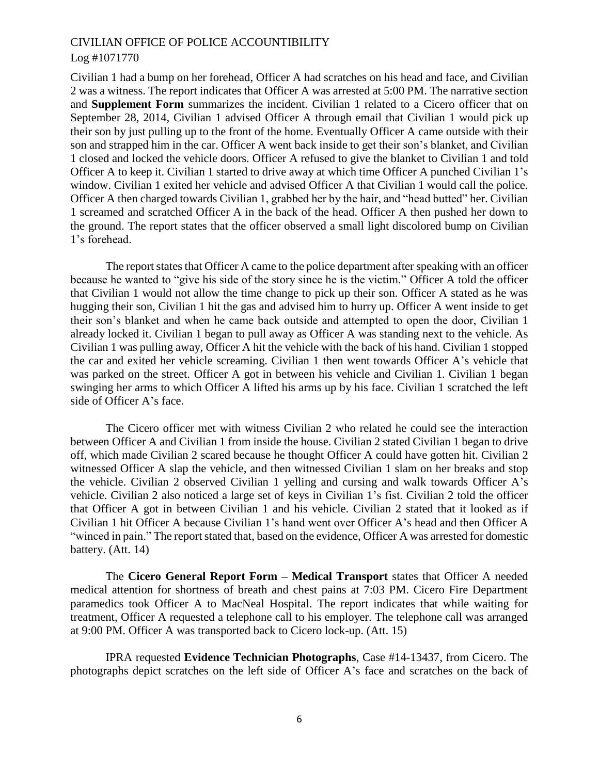Civilian 1 had a bump on her forehead, Officer A had scratches on his head and face, and Civilian 2 was a witness. The report indicates that Officer A was arrested at 5:00 PM. The narrative section and **Supplement Form** summarizes the incident. Civilian 1 related to a Cicero officer that on September 28, 2014, Civilian 1 advised Officer A through email that Civilian 1 would pick up their son by just pulling up to the front of the home. Eventually Officer A came outside with their son and strapped him in the car. Officer A went back inside to get their son's blanket, and Civilian 1 closed and locked the vehicle doors. Officer A refused to give the blanket to Civilian 1 and told Officer A to keep it. Civilian 1 started to drive away at which time Officer A punched Civilian 1's window. Civilian 1 exited her vehicle and advised Officer A that Civilian 1 would call the police. Officer A then charged towards Civilian 1, grabbed her by the hair, and "head butted" her. Civilian 1 screamed and scratched Officer A in the back of the head. Officer A then pushed her down to the ground. The report states that the officer observed a small light discolored bump on Civilian 1's forehead.

The report states that Officer A came to the police department after speaking with an officer because he wanted to "give his side of the story since he is the victim." Officer A told the officer that Civilian 1 would not allow the time change to pick up their son. Officer A stated as he was hugging their son, Civilian 1 hit the gas and advised him to hurry up. Officer A went inside to get their son's blanket and when he came back outside and attempted to open the door, Civilian 1 already locked it. Civilian 1 began to pull away as Officer A was standing next to the vehicle. As Civilian 1 was pulling away, Officer A hit the vehicle with the back of his hand. Civilian 1 stopped the car and exited her vehicle screaming. Civilian 1 then went towards Officer A's vehicle that was parked on the street. Officer A got in between his vehicle and Civilian 1. Civilian 1 began swinging her arms to which Officer A lifted his arms up by his face. Civilian 1 scratched the left side of Officer A's face.

The Cicero officer met with witness Civilian 2 who related he could see the interaction between Officer A and Civilian 1 from inside the house. Civilian 2 stated Civilian 1 began to drive off, which made Civilian 2 scared because he thought Officer A could have gotten hit. Civilian 2 witnessed Officer A slap the vehicle, and then witnessed Civilian 1 slam on her breaks and stop the vehicle. Civilian 2 observed Civilian 1 yelling and cursing and walk towards Officer A's vehicle. Civilian 2 also noticed a large set of keys in Civilian 1's fist. Civilian 2 told the officer that Officer A got in between Civilian 1 and his vehicle. Civilian 2 stated that it looked as if Civilian 1 hit Officer A because Civilian 1's hand went over Officer A's head and then Officer A "winced in pain." The report stated that, based on the evidence, Officer A was arrested for domestic battery. (Att. 14)

The **Cicero General Report Form – Medical Transport** states that Officer A needed medical attention for shortness of breath and chest pains at 7:03 PM. Cicero Fire Department paramedics took Officer A to MacNeal Hospital. The report indicates that while waiting for treatment, Officer A requested a telephone call to his employer. The telephone call was arranged at 9:00 PM. Officer A was transported back to Cicero lock-up. (Att. 15)

IPRA requested **Evidence Technician Photographs**, Case #14-13437, from Cicero. The photographs depict scratches on the left side of Officer A's face and scratches on the back of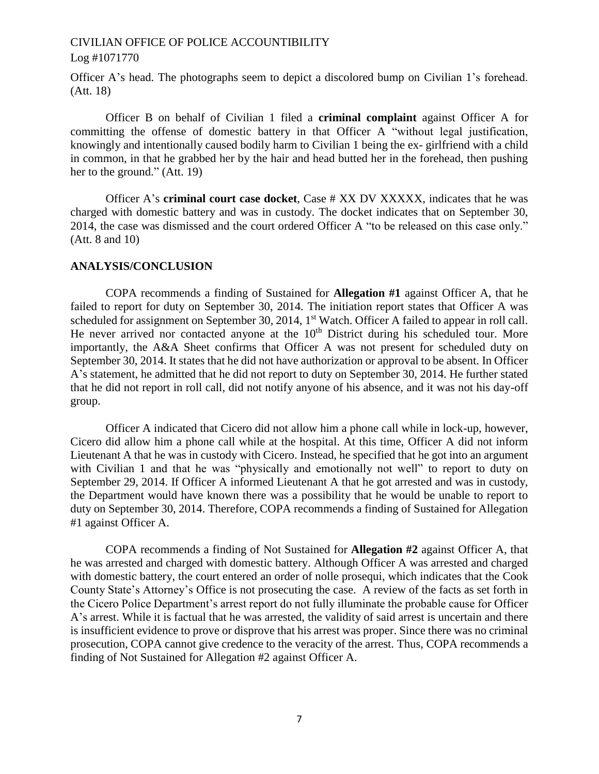Officer A's head. The photographs seem to depict a discolored bump on Civilian 1's forehead. (Att. 18)

Officer B on behalf of Civilian 1 filed a **criminal complaint** against Officer A for committing the offense of domestic battery in that Officer A "without legal justification, knowingly and intentionally caused bodily harm to Civilian 1 being the ex- girlfriend with a child in common, in that he grabbed her by the hair and head butted her in the forehead, then pushing her to the ground." (Att. 19)

Officer A's **criminal court case docket**, Case # XX DV XXXXX, indicates that he was charged with domestic battery and was in custody. The docket indicates that on September 30, 2014, the case was dismissed and the court ordered Officer A "to be released on this case only." (Att. 8 and 10)

#### **ANALYSIS/CONCLUSION**

COPA recommends a finding of Sustained for **Allegation #1** against Officer A, that he failed to report for duty on September 30, 2014. The initiation report states that Officer A was scheduled for assignment on September 30, 2014, 1<sup>st</sup> Watch. Officer A failed to appear in roll call. He never arrived nor contacted anyone at the 10<sup>th</sup> District during his scheduled tour. More importantly, the A&A Sheet confirms that Officer A was not present for scheduled duty on September 30, 2014. It states that he did not have authorization or approval to be absent. In Officer A's statement, he admitted that he did not report to duty on September 30, 2014. He further stated that he did not report in roll call, did not notify anyone of his absence, and it was not his day-off group.

Officer A indicated that Cicero did not allow him a phone call while in lock-up, however, Cicero did allow him a phone call while at the hospital. At this time, Officer A did not inform Lieutenant A that he was in custody with Cicero. Instead, he specified that he got into an argument with Civilian 1 and that he was "physically and emotionally not well" to report to duty on September 29, 2014. If Officer A informed Lieutenant A that he got arrested and was in custody, the Department would have known there was a possibility that he would be unable to report to duty on September 30, 2014. Therefore, COPA recommends a finding of Sustained for Allegation #1 against Officer A.

COPA recommends a finding of Not Sustained for **Allegation #2** against Officer A, that he was arrested and charged with domestic battery. Although Officer A was arrested and charged with domestic battery, the court entered an order of nolle prosequi, which indicates that the Cook County State's Attorney's Office is not prosecuting the case. A review of the facts as set forth in the Cicero Police Department's arrest report do not fully illuminate the probable cause for Officer A's arrest. While it is factual that he was arrested, the validity of said arrest is uncertain and there is insufficient evidence to prove or disprove that his arrest was proper. Since there was no criminal prosecution, COPA cannot give credence to the veracity of the arrest. Thus, COPA recommends a finding of Not Sustained for Allegation #2 against Officer A.